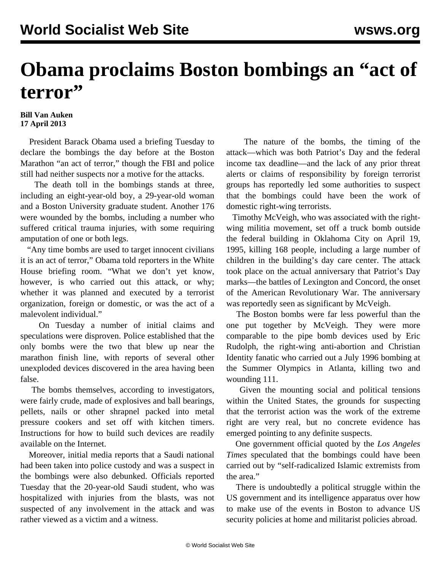## **Obama proclaims Boston bombings an "act of terror"**

## **Bill Van Auken 17 April 2013**

 President Barack Obama used a briefing Tuesday to declare the bombings the day before at the Boston Marathon "an act of terror," though the FBI and police still had neither suspects nor a motive for the attacks.

 The death toll in the bombings stands at three, including an eight-year-old boy, a 29-year-old woman and a Boston University graduate student. Another 176 were wounded by the bombs, including a number who suffered critical trauma injuries, with some requiring amputation of one or both legs.

 "Any time bombs are used to target innocent civilians it is an act of terror," Obama told reporters in the White House briefing room. "What we don't yet know, however, is who carried out this attack, or why; whether it was planned and executed by a terrorist organization, foreign or domestic, or was the act of a malevolent individual."

 On Tuesday a number of initial claims and speculations were disproven. Police established that the only bombs were the two that blew up near the marathon finish line, with reports of several other unexploded devices discovered in the area having been false.

 The bombs themselves, according to investigators, were fairly crude, made of explosives and ball bearings, pellets, nails or other shrapnel packed into metal pressure cookers and set off with kitchen timers. Instructions for how to build such devices are readily available on the Internet.

 Moreover, initial media reports that a Saudi national had been taken into police custody and was a suspect in the bombings were also debunked. Officials reported Tuesday that the 20-year-old Saudi student, who was hospitalized with injuries from the blasts, was not suspected of any involvement in the attack and was rather viewed as a victim and a witness.

 The nature of the bombs, the timing of the attack—which was both Patriot's Day and the federal income tax deadline—and the lack of any prior threat alerts or claims of responsibility by foreign terrorist groups has reportedly led some authorities to suspect that the bombings could have been the work of domestic right-wing terrorists.

 Timothy McVeigh, who was associated with the rightwing militia movement, set off a truck bomb outside the federal building in Oklahoma City on April 19, 1995, killing 168 people, including a large number of children in the building's day care center. The attack took place on the actual anniversary that Patriot's Day marks—the battles of Lexington and Concord, the onset of the American Revolutionary War. The anniversary was reportedly seen as significant by McVeigh.

 The Boston bombs were far less powerful than the one put together by McVeigh. They were more comparable to the pipe bomb devices used by Eric Rudolph, the right-wing anti-abortion and Christian Identity fanatic who carried out a July 1996 bombing at the Summer Olympics in Atlanta, killing two and wounding 111.

 Given the mounting social and political tensions within the United States, the grounds for suspecting that the terrorist action was the work of the extreme right are very real, but no concrete evidence has emerged pointing to any definite suspects.

 One government official quoted by the *Los Angeles Times* speculated that the bombings could have been carried out by "self-radicalized Islamic extremists from the area."

 There is undoubtedly a political struggle within the US government and its intelligence apparatus over how to make use of the events in Boston to advance US security policies at home and militarist policies abroad.